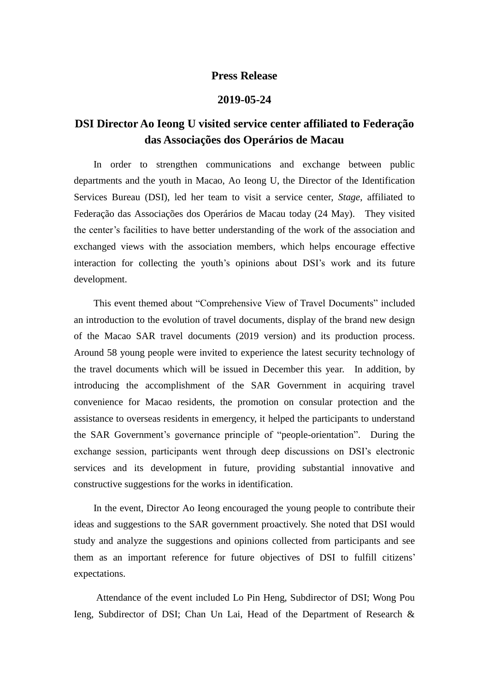## **Press Release**

## **2019-05-24**

## **DSI Director Ao Ieong U visited service center affiliated to Federação das Associações dos Operários de Macau**

In order to strengthen communications and exchange between public departments and the youth in Macao, Ao Ieong U, the Director of the Identification Services Bureau (DSI), led her team to visit a service center, *Stage*, affiliated to Federação das Associações dos Operários de Macau today (24 May). They visited the center's facilities to have better understanding of the work of the association and exchanged views with the association members, which helps encourage effective interaction for collecting the youth's opinions about DSI's work and its future development.

This event themed about "Comprehensive View of Travel Documents" included an introduction to the evolution of travel documents, display of the brand new design of the Macao SAR travel documents (2019 version) and its production process. Around 58 young people were invited to experience the latest security technology of the travel documents which will be issued in December this year. In addition, by introducing the accomplishment of the SAR Government in acquiring travel convenience for Macao residents, the promotion on consular protection and the assistance to overseas residents in emergency, it helped the participants to understand the SAR Government's governance principle of "people-orientation". During the exchange session, participants went through deep discussions on DSI's electronic services and its development in future, providing substantial innovative and constructive suggestions for the works in identification.

In the event, Director Ao Ieong encouraged the young people to contribute their ideas and suggestions to the SAR government proactively. She noted that DSI would study and analyze the suggestions and opinions collected from participants and see them as an important reference for future objectives of DSI to fulfill citizens' expectations.

Attendance of the event included Lo Pin Heng, Subdirector of DSI; Wong Pou Ieng, Subdirector of DSI; Chan Un Lai, Head of the Department of Research &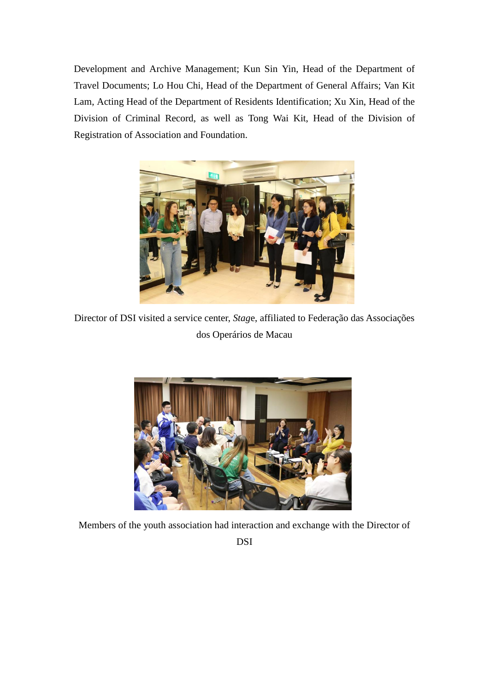Development and Archive Management; Kun Sin Yin, Head of the Department of Travel Documents; Lo Hou Chi, Head of the Department of General Affairs; Van Kit Lam, Acting Head of the Department of Residents Identification; Xu Xin, Head of the Division of Criminal Record, as well as Tong Wai Kit, Head of the Division of Registration of Association and Foundation.



Director of DSI visited a service center, *Stag*e, affiliated to Federação das Associações dos Operários de Macau



Members of the youth association had interaction and exchange with the Director of

DSI